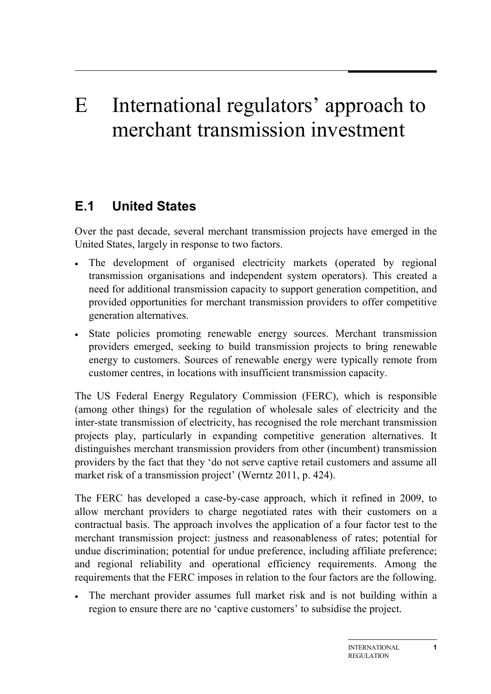## E International regulators' approach to merchant transmission investment

## **E.1 United States**

Over the past decade, several merchant transmission projects have emerged in the United States, largely in response to two factors.

- The development of organised electricity markets (operated by regional transmission organisations and independent system operators). This created a need for additional transmission capacity to support generation competition, and provided opportunities for merchant transmission providers to offer competitive generation alternatives.
- State policies promoting renewable energy sources. Merchant transmission providers emerged, seeking to build transmission projects to bring renewable energy to customers. Sources of renewable energy were typically remote from customer centres, in locations with insufficient transmission capacity.

The US Federal Energy Regulatory Commission (FERC), which is responsible (among other things) for the regulation of wholesale sales of electricity and the inter-state transmission of electricity, has recognised the role merchant transmission projects play, particularly in expanding competitive generation alternatives. It distinguishes merchant transmission providers from other (incumbent) transmission providers by the fact that they 'do not serve captive retail customers and assume all market risk of a transmission project' (Werntz 2011, p. 424).

The FERC has developed a case-by-case approach, which it refined in 2009, to allow merchant providers to charge negotiated rates with their customers on a contractual basis. The approach involves the application of a four factor test to the merchant transmission project: justness and reasonableness of rates; potential for undue discrimination; potential for undue preference, including affiliate preference; and regional reliability and operational efficiency requirements. Among the requirements that the FERC imposes in relation to the four factors are the following.

• The merchant provider assumes full market risk and is not building within a region to ensure there are no 'captive customers' to subsidise the project.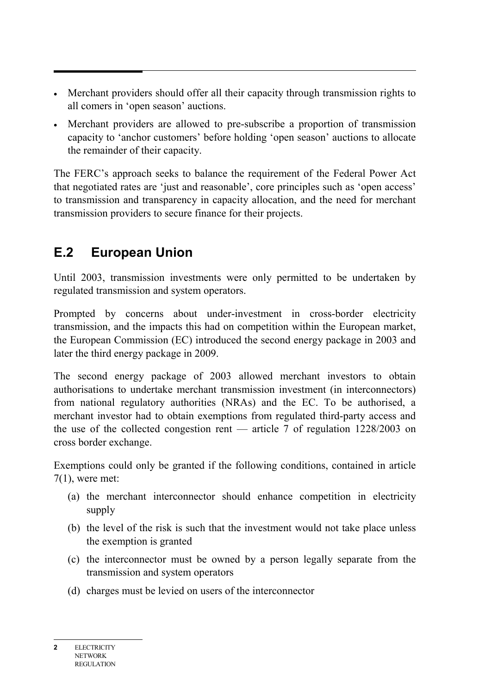- Merchant providers should offer all their capacity through transmission rights to all comers in 'open season' auctions.
- Merchant providers are allowed to pre-subscribe a proportion of transmission capacity to 'anchor customers' before holding 'open season' auctions to allocate the remainder of their capacity.

The FERC's approach seeks to balance the requirement of the Federal Power Act that negotiated rates are 'just and reasonable', core principles such as 'open access' to transmission and transparency in capacity allocation, and the need for merchant transmission providers to secure finance for their projects.

## **E.2 European Union**

Until 2003, transmission investments were only permitted to be undertaken by regulated transmission and system operators.

Prompted by concerns about under-investment in cross-border electricity transmission, and the impacts this had on competition within the European market, the European Commission (EC) introduced the second energy package in 2003 and later the third energy package in 2009.

The second energy package of 2003 allowed merchant investors to obtain authorisations to undertake merchant transmission investment (in interconnectors) from national regulatory authorities (NRAs) and the EC. To be authorised, a merchant investor had to obtain exemptions from regulated third-party access and the use of the collected congestion rent — article 7 of regulation 1228/2003 on cross border exchange.

Exemptions could only be granted if the following conditions, contained in article 7(1), were met:

- (a) the merchant interconnector should enhance competition in electricity supply
- (b) the level of the risk is such that the investment would not take place unless the exemption is granted
- (c) the interconnector must be owned by a person legally separate from the transmission and system operators
- (d) charges must be levied on users of the interconnector